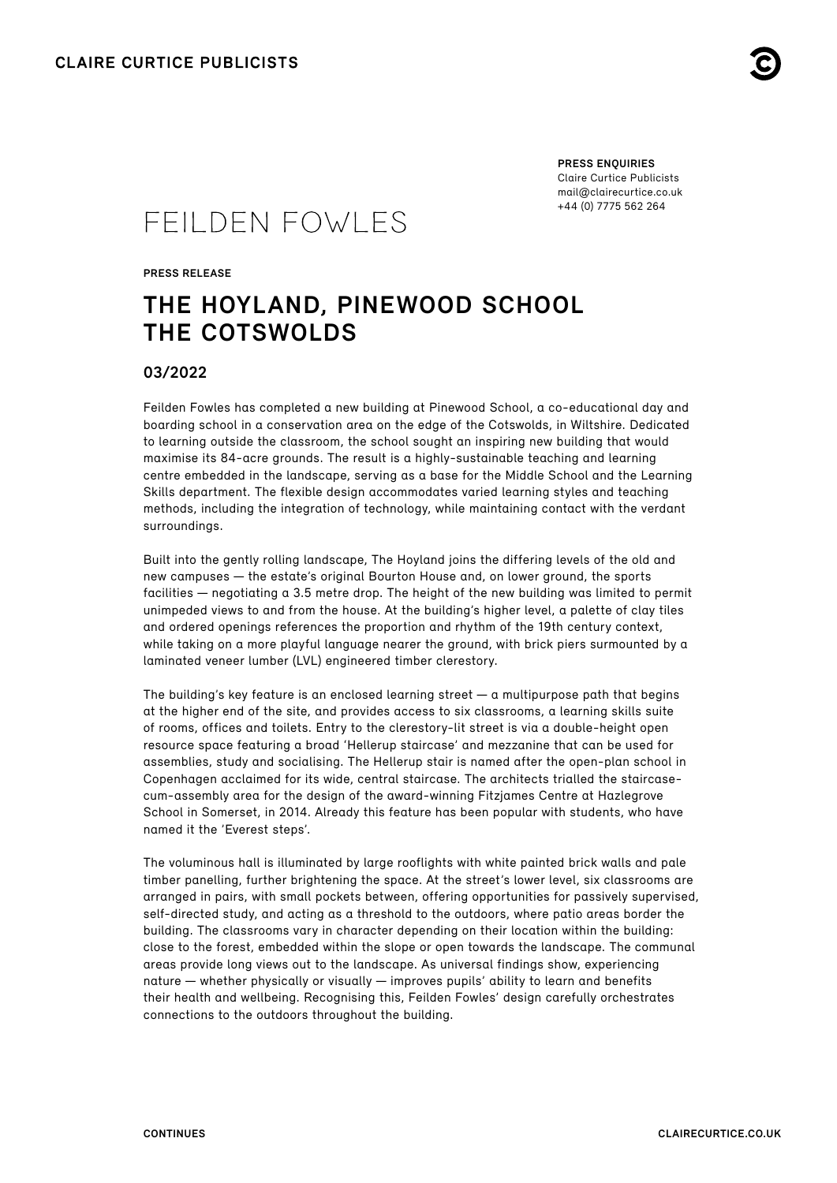

**PRESS ENQUIRIES** Claire Curtice Publicists [mail@clairecurtice.co.uk](mailto:mail@clairecurtice.co.uk?subject=Feilden Fowles - The Hoyland, Pinewood School) +44 (0) 7775 562 264

# FEILDEN FOWLES

**PRESS RELEASE**

## **THE HOYLAND, PINEWOOD SCHOOL THE COTSWOLDS**

### **03/2022**

Feilden Fowles has completed a new building at Pinewood School, a co-educational day and boarding school in a conservation area on the edge of the Cotswolds, in Wiltshire. Dedicated to learning outside the classroom, the school sought an inspiring new building that would maximise its 84-acre grounds. The result is a highly-sustainable teaching and learning centre embedded in the landscape, serving as a base for the Middle School and the Learning Skills department. The flexible design accommodates varied learning styles and teaching methods, including the integration of technology, while maintaining contact with the verdant surroundings.

Built into the gently rolling landscape, The Hoyland joins the differing levels of the old and new campuses — the estate's original Bourton House and, on lower ground, the sports facilities — negotiating a 3.5 metre drop. The height of the new building was limited to permit unimpeded views to and from the house. At the building's higher level, a palette of clay tiles and ordered openings references the proportion and rhythm of the 19th century context, while taking on a more playful language nearer the ground, with brick piers surmounted by a laminated veneer lumber (LVL) engineered timber clerestory.

The building's key feature is an enclosed learning street  $-\alpha$  multipurpose path that begins at the higher end of the site, and provides access to six classrooms, a learning skills suite of rooms, offices and toilets. Entry to the clerestory-lit street is via a double-height open resource space featuring a broad 'Hellerup staircase' and mezzanine that can be used for assemblies, study and socialising. The Hellerup stair is named after the open-plan school in Copenhagen acclaimed for its wide, central staircase. The architects trialled the staircasecum-assembly area for the design of the award-winning Fitzjames Centre at Hazlegrove School in Somerset, in 2014. Already this feature has been popular with students, who have named it the 'Everest steps'.

The voluminous hall is illuminated by large rooflights with white painted brick walls and pale timber panelling, further brightening the space. At the street's lower level, six classrooms are arranged in pairs, with small pockets between, offering opportunities for passively supervised, self-directed study, and acting as a threshold to the outdoors, where patio areas border the building. The classrooms vary in character depending on their location within the building: close to the forest, embedded within the slope or open towards the landscape. The communal areas provide long views out to the landscape. As universal findings show, experiencing nature — whether physically or visually — improves pupils' ability to learn and benefits their health and wellbeing. Recognising this, Feilden Fowles' design carefully orchestrates connections to the outdoors throughout the building.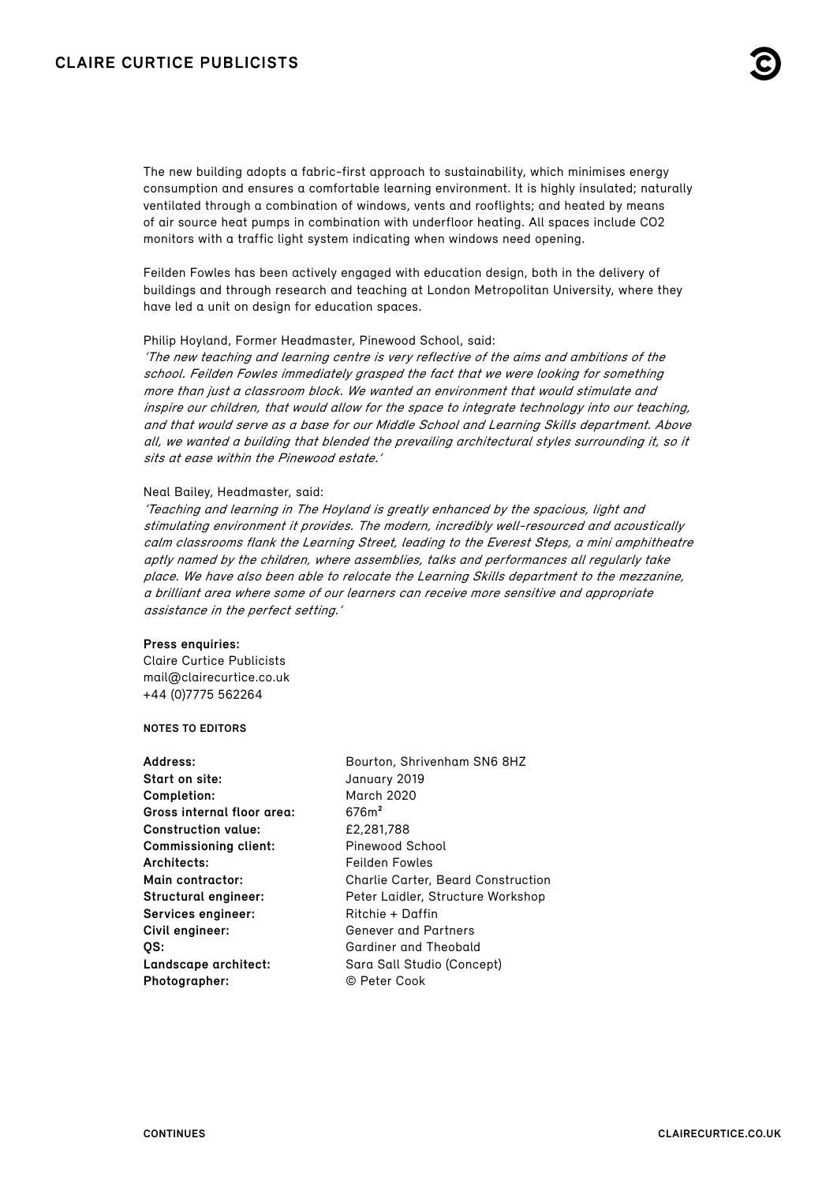The new building adopts a fabric-first approach to sustainability, which minimises energy consumption and ensures a comfortable learning environment. It is highly insulated; naturally ventilated through a combination of windows, vents and rooflights; and heated by means of air source heat pumps in combination with underfloor heating. All spaces include CO2 monitors with a traffic light system indicating when windows need opening.

Feilden Fowles has been actively engaged with education design, both in the delivery of buildings and through research and teaching at London Metropolitan University, where they have led a unit on design for education spaces.

#### Philip Hoyland, Former Headmaster, Pinewood School, said:

'The new teaching and learning centre is very reflective of the aims and ambitions of the school. Feilden Fowles immediately grasped the fact that we were looking for something more than just a classroom block. We wanted an environment that would stimulate and inspire our children, that would allow for the space to integrate technology into our teaching, and that would serve as a base for our Middle School and Learning Skills department. Above all, we wanted a building that blended the prevailing architectural styles surrounding it, so it sits at ease within the Pinewood estate.'

#### Neal Bailey, Headmaster, said:

'Teaching and learning in The Hoyland is greatly enhanced by the spacious, light and stimulating environment it provides. The modern, incredibly well-resourced and acoustically calm classrooms flank the Learning Street, leading to the Everest Steps, a mini amphitheatre aptly named by the children, where assemblies, talks and performances all regularly take place. We have also been able to relocate the Learning Skills department to the mezzanine, a brilliant area where some of our learners can receive more sensitive and appropriate assistance in the perfect setting.'

#### **Press enquiries:**

Claire Curtice Publicists [mail@clairecurtice.co.uk](mailto:mail@clairecurtice.co.uk?subject=Feilden Fowles - The Hoyland, Pinewood School) +44 (0)7775 562264

#### **NOTES TO EDITORS**

| January 2019<br>Start on site:<br><b>March 2020</b><br>Completion:<br>676m <sup>2</sup><br>Gross internal floor area:<br>£2.281.788<br><b>Construction value:</b><br>Pinewood School<br><b>Commissioning client:</b><br>Architects:<br>Feilden Fowles<br>Main contractor:<br><b>Charlie Carter, Beard Construction</b><br>Structural engineer:<br>Peter Laidler, Structure Workshop<br>Services engineer:<br>Ritchie + Daffin | Address: |
|-------------------------------------------------------------------------------------------------------------------------------------------------------------------------------------------------------------------------------------------------------------------------------------------------------------------------------------------------------------------------------------------------------------------------------|----------|
|                                                                                                                                                                                                                                                                                                                                                                                                                               |          |
|                                                                                                                                                                                                                                                                                                                                                                                                                               |          |
|                                                                                                                                                                                                                                                                                                                                                                                                                               |          |
|                                                                                                                                                                                                                                                                                                                                                                                                                               |          |
|                                                                                                                                                                                                                                                                                                                                                                                                                               |          |
|                                                                                                                                                                                                                                                                                                                                                                                                                               |          |
|                                                                                                                                                                                                                                                                                                                                                                                                                               |          |
|                                                                                                                                                                                                                                                                                                                                                                                                                               |          |
|                                                                                                                                                                                                                                                                                                                                                                                                                               |          |
| Civil engineer:<br><b>Genever and Partners</b>                                                                                                                                                                                                                                                                                                                                                                                |          |
| Gardiner and Theobald<br>OS:                                                                                                                                                                                                                                                                                                                                                                                                  |          |
| Landscape architect:<br>Sara Sall Studio (Concept)                                                                                                                                                                                                                                                                                                                                                                            |          |
| © Peter Cook<br>Photographer:                                                                                                                                                                                                                                                                                                                                                                                                 |          |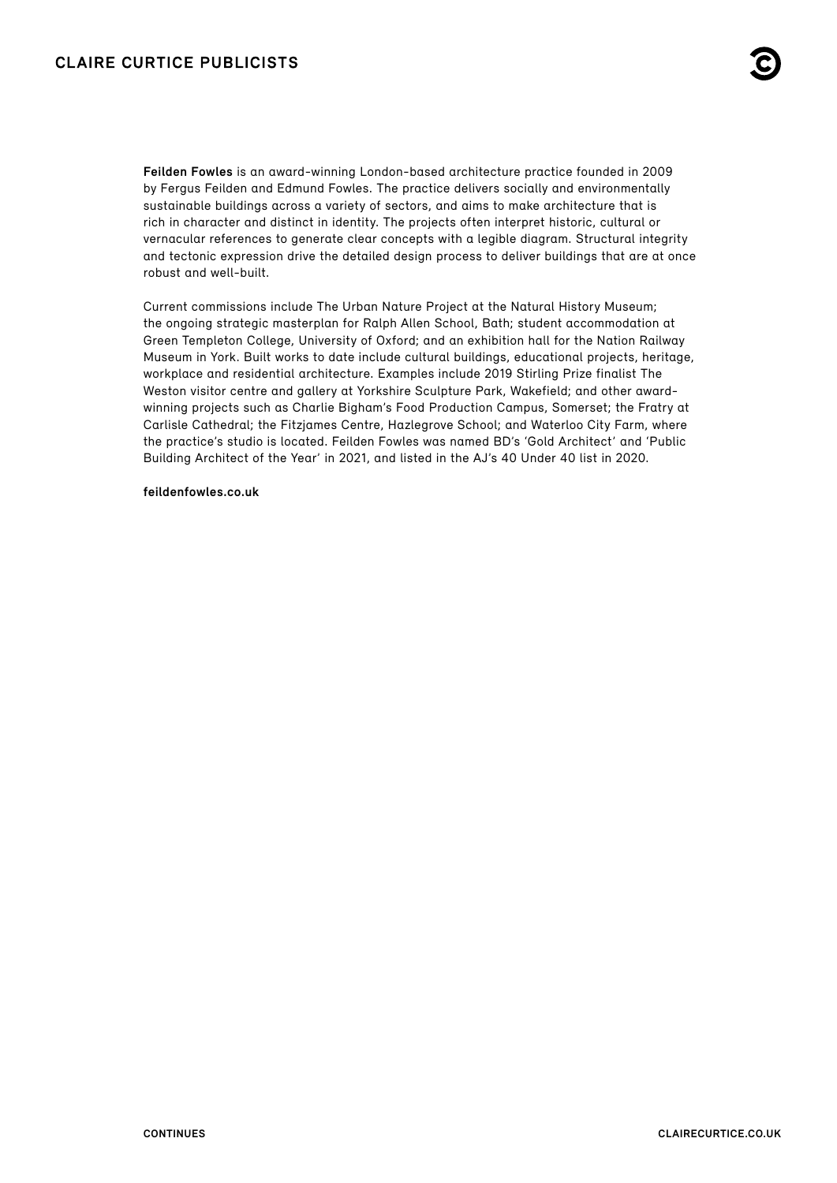**Feilden Fowles** is an award-winning London-based architecture practice founded in 2009 by Fergus Feilden and Edmund Fowles. The practice delivers socially and environmentally sustainable buildings across a variety of sectors, and aims to make architecture that is rich in character and distinct in identity. The projects often interpret historic, cultural or vernacular references to generate clear concepts with a legible diagram. Structural integrity and tectonic expression drive the detailed design process to deliver buildings that are at once robust and well-built.

Current commissions include The Urban Nature Project at the Natural History Museum; the ongoing strategic masterplan for Ralph Allen School, Bath; student accommodation at Green Templeton College, University of Oxford; and an exhibition hall for the Nation Railway Museum in York. Built works to date include cultural buildings, educational projects, heritage, workplace and residential architecture. Examples include 2019 Stirling Prize finalist The Weston visitor centre and gallery at Yorkshire Sculpture Park, Wakefield; and other awardwinning projects such as Charlie Bigham's Food Production Campus, Somerset; the Fratry at Carlisle Cathedral; the Fitzjames Centre, Hazlegrove School; and Waterloo City Farm, where the practice's studio is located. Feilden Fowles was named BD's 'Gold Architect' and 'Public Building Architect of the Year' in 2021, and listed in the AJ's 40 Under 40 list in 2020.

**[feildenfowles.co.uk](http://www.feildenfowles.co.uk/)**